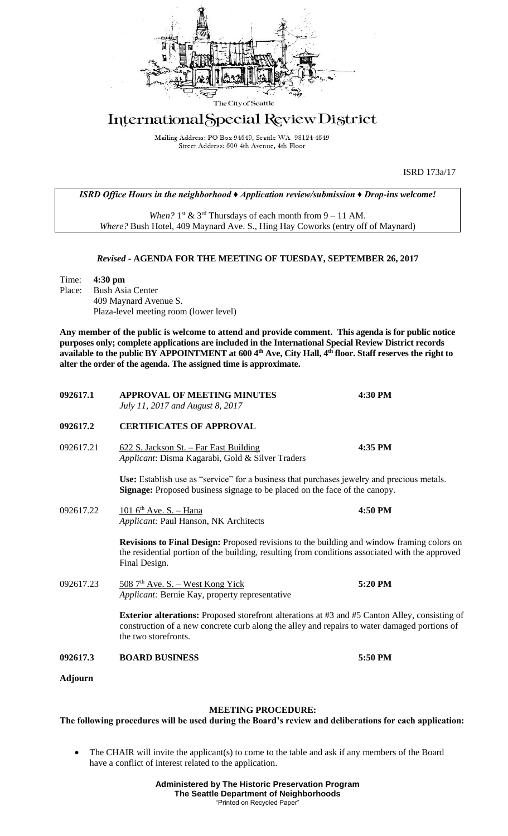

## International Special Review District

Mailing Address: PO Box 94649, Seattle WA 98124-4649 Street Address: 600 4th Avenue, 4th Floor

ISRD 173a/17

*ISRD Office Hours in the neighborhood ♦ Application review/submission ♦ Drop-ins welcome!*

When?  $1<sup>st</sup>$  &  $3<sup>rd</sup>$  Thursdays of each month from  $9 - 11$  AM. *Where?* Bush Hotel, 409 Maynard Ave. S., Hing Hay Coworks (entry off of Maynard)

## *Revised* **- AGENDA FOR THE MEETING OF TUESDAY, SEPTEMBER 26, 2017**

Time: **4:30 pm** Place: Bush Asia Center 409 Maynard Avenue S. Plaza-level meeting room (lower level)

**Any member of the public is welcome to attend and provide comment. This agenda is for public notice purposes only; complete applications are included in the International Special Review District records available to the public BY APPOINTMENT at 600 4th Ave, City Hall, 4th floor. Staff reserves the right to alter the order of the agenda. The assigned time is approximate.** 

| 092617.1       | <b>APPROVAL OF MEETING MINUTES</b><br>July 11, 2017 and August 8, 2017                                                                                                                                                 | 4:30 PM |
|----------------|------------------------------------------------------------------------------------------------------------------------------------------------------------------------------------------------------------------------|---------|
| 092617.2       | <b>CERTIFICATES OF APPROVAL</b>                                                                                                                                                                                        |         |
| 092617.21      | 622 S. Jackson St. - Far East Building<br>Applicant: Disma Kagarabi, Gold & Silver Traders                                                                                                                             | 4:35 PM |
|                | Use: Establish use as "service" for a business that purchases jewelry and precious metals.<br><b>Signage:</b> Proposed business signage to be placed on the face of the canopy.                                        |         |
| 092617.22      | $1016^{\text{th}}$ Ave. S. - Hana<br>Applicant: Paul Hanson, NK Architects                                                                                                                                             | 4:50 PM |
|                | <b>Revisions to Final Design:</b> Proposed revisions to the building and window framing colors on<br>the residential portion of the building, resulting from conditions associated with the approved<br>Final Design.  |         |
| 092617.23      | $508$ 7 <sup>th</sup> Ave. S. – West Kong Yick<br>Applicant: Bernie Kay, property representative                                                                                                                       | 5:20 PM |
|                | Exterior alterations: Proposed storefront alterations at #3 and #5 Canton Alley, consisting of<br>construction of a new concrete curb along the alley and repairs to water damaged portions of<br>the two storefronts. |         |
| 092617.3       | <b>BOARD BUSINESS</b>                                                                                                                                                                                                  | 5:50 PM |
| <b>Adjourn</b> |                                                                                                                                                                                                                        |         |

## **MEETING PROCEDURE:**

**The following procedures will be used during the Board's review and deliberations for each application:** 

The CHAIR will invite the applicant(s) to come to the table and ask if any members of the Board have a conflict of interest related to the application.